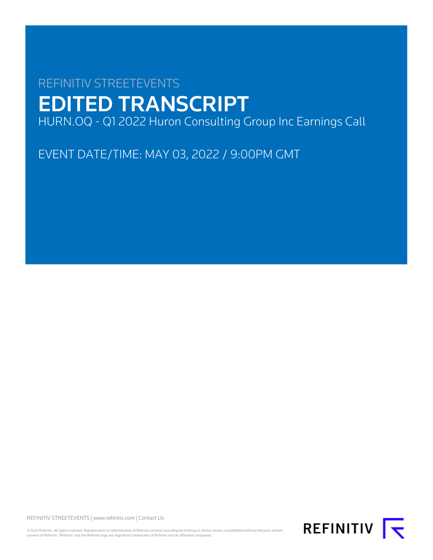# REFINITIV STREETEVENTS EDITED TRANSCRIPT HURN.OQ - Q1 2022 Huron Consulting Group Inc Earnings Call

EVENT DATE/TIME: MAY 03, 2022 / 9:00PM GMT

REFINITIV STREETEVENTS | [www.refinitiv.com](https://www.refinitiv.com/) | [Contact Us](https://www.refinitiv.com/en/contact-us)

©2022 Refinitiv. All rights reserved. Republication or redistribution of Refinitiv content, including by framing or similar means, is prohibited without the prior written<br>consent of Refinitiv. 'Refinitiv' and the Refinitiv

REFINITIV **K**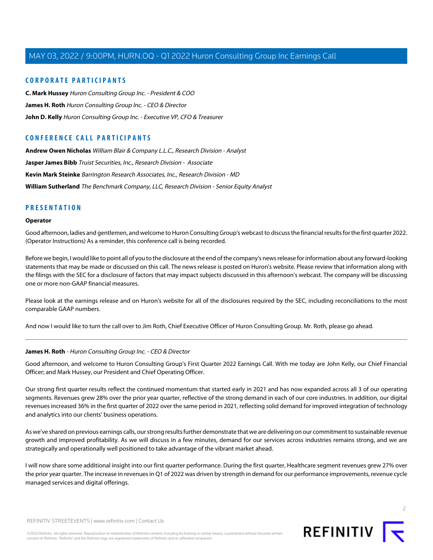# **CORPORATE PARTICIPANTS**

**[C. Mark Hussey](#page-10-0)** Huron Consulting Group Inc. - President & COO **[James H. Roth](#page-1-0)** Huron Consulting Group Inc. - CEO & Director **[John D. Kelly](#page-3-0)** Huron Consulting Group Inc. - Executive VP, CFO & Treasurer

# **CONFERENCE CALL PARTICIPANTS**

**[Andrew Owen Nicholas](#page-7-0)** William Blair & Company L.L.C., Research Division - Analyst **[Jasper James Bibb](#page-5-0)** Truist Securities, Inc., Research Division - Associate **[Kevin Mark Steinke](#page-10-1)** Barrington Research Associates, Inc., Research Division - MD **[William Sutherland](#page-8-0)** The Benchmark Company, LLC, Research Division - Senior Equity Analyst

### **PRESENTATION**

#### **Operator**

Good afternoon, ladies and gentlemen, and welcome to Huron Consulting Group's webcast to discuss the financial results for the first quarter 2022. (Operator Instructions) As a reminder, this conference call is being recorded.

Before we begin, I would like to point all of you to the disclosure at the end of the company's news release for information about any forward-looking statements that may be made or discussed on this call. The news release is posted on Huron's website. Please review that information along with the filings with the SEC for a disclosure of factors that may impact subjects discussed in this afternoon's webcast. The company will be discussing one or more non-GAAP financial measures.

Please look at the earnings release and on Huron's website for all of the disclosures required by the SEC, including reconciliations to the most comparable GAAP numbers.

<span id="page-1-0"></span>And now I would like to turn the call over to Jim Roth, Chief Executive Officer of Huron Consulting Group. Mr. Roth, please go ahead.

#### **James H. Roth** - Huron Consulting Group Inc. - CEO & Director

Good afternoon, and welcome to Huron Consulting Group's First Quarter 2022 Earnings Call. With me today are John Kelly, our Chief Financial Officer; and Mark Hussey, our President and Chief Operating Officer.

Our strong first quarter results reflect the continued momentum that started early in 2021 and has now expanded across all 3 of our operating segments. Revenues grew 28% over the prior year quarter, reflective of the strong demand in each of our core industries. In addition, our digital revenues increased 36% in the first quarter of 2022 over the same period in 2021, reflecting solid demand for improved integration of technology and analytics into our clients' business operations.

As we've shared on previous earnings calls, our strong results further demonstrate that we are delivering on our commitment to sustainable revenue growth and improved profitability. As we will discuss in a few minutes, demand for our services across industries remains strong, and we are strategically and operationally well positioned to take advantage of the vibrant market ahead.

I will now share some additional insight into our first quarter performance. During the first quarter, Healthcare segment revenues grew 27% over the prior year quarter. The increase in revenues in Q1 of 2022 was driven by strength in demand for our performance improvements, revenue cycle managed services and digital offerings.

 $\overline{2}$ 

REFINITIV STREETEVENTS | [www.refinitiv.com](https://www.refinitiv.com/) | [Contact Us](https://www.refinitiv.com/en/contact-us)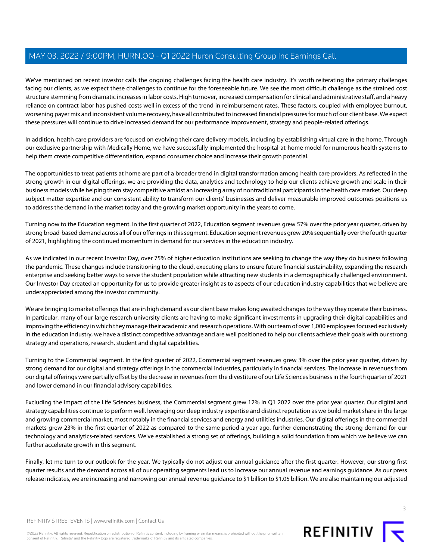We've mentioned on recent investor calls the ongoing challenges facing the health care industry. It's worth reiterating the primary challenges facing our clients, as we expect these challenges to continue for the foreseeable future. We see the most difficult challenge as the strained cost structure stemming from dramatic increases in labor costs. High turnover, increased compensation for clinical and administrative staff, and a heavy reliance on contract labor has pushed costs well in excess of the trend in reimbursement rates. These factors, coupled with employee burnout, worsening payer mix and inconsistent volume recovery, have all contributed to increased financial pressures for much of our client base. We expect these pressures will continue to drive increased demand for our performance improvement, strategy and people-related offerings.

In addition, health care providers are focused on evolving their care delivery models, including by establishing virtual care in the home. Through our exclusive partnership with Medically Home, we have successfully implemented the hospital-at-home model for numerous health systems to help them create competitive differentiation, expand consumer choice and increase their growth potential.

The opportunities to treat patients at home are part of a broader trend in digital transformation among health care providers. As reflected in the strong growth in our digital offerings, we are providing the data, analytics and technology to help our clients achieve growth and scale in their business models while helping them stay competitive amidst an increasing array of nontraditional participants in the health care market. Our deep subject matter expertise and our consistent ability to transform our clients' businesses and deliver measurable improved outcomes positions us to address the demand in the market today and the growing market opportunity in the years to come.

Turning now to the Education segment. In the first quarter of 2022, Education segment revenues grew 57% over the prior year quarter, driven by strong broad-based demand across all of our offerings in this segment. Education segment revenues grew 20% sequentially over the fourth quarter of 2021, highlighting the continued momentum in demand for our services in the education industry.

As we indicated in our recent Investor Day, over 75% of higher education institutions are seeking to change the way they do business following the pandemic. These changes include transitioning to the cloud, executing plans to ensure future financial sustainability, expanding the research enterprise and seeking better ways to serve the student population while attracting new students in a demographically challenged environment. Our Investor Day created an opportunity for us to provide greater insight as to aspects of our education industry capabilities that we believe are underappreciated among the investor community.

We are bringing to market offerings that are in high demand as our client base makes long awaited changes to the way they operate their business. In particular, many of our large research university clients are having to make significant investments in upgrading their digital capabilities and improving the efficiency in which they manage their academic and research operations. With our team of over 1,000 employees focused exclusively in the education industry, we have a distinct competitive advantage and are well positioned to help our clients achieve their goals with our strong strategy and operations, research, student and digital capabilities.

Turning to the Commercial segment. In the first quarter of 2022, Commercial segment revenues grew 3% over the prior year quarter, driven by strong demand for our digital and strategy offerings in the commercial industries, particularly in financial services. The increase in revenues from our digital offerings were partially offset by the decrease in revenues from the divestiture of our Life Sciences business in the fourth quarter of 2021 and lower demand in our financial advisory capabilities.

Excluding the impact of the Life Sciences business, the Commercial segment grew 12% in Q1 2022 over the prior year quarter. Our digital and strategy capabilities continue to perform well, leveraging our deep industry expertise and distinct reputation as we build market share in the large and growing commercial market, most notably in the financial services and energy and utilities industries. Our digital offerings in the commercial markets grew 23% in the first quarter of 2022 as compared to the same period a year ago, further demonstrating the strong demand for our technology and analytics-related services. We've established a strong set of offerings, building a solid foundation from which we believe we can further accelerate growth in this segment.

Finally, let me turn to our outlook for the year. We typically do not adjust our annual guidance after the first quarter. However, our strong first quarter results and the demand across all of our operating segments lead us to increase our annual revenue and earnings guidance. As our press release indicates, we are increasing and narrowing our annual revenue guidance to \$1 billion to \$1.05 billion. We are also maintaining our adjusted

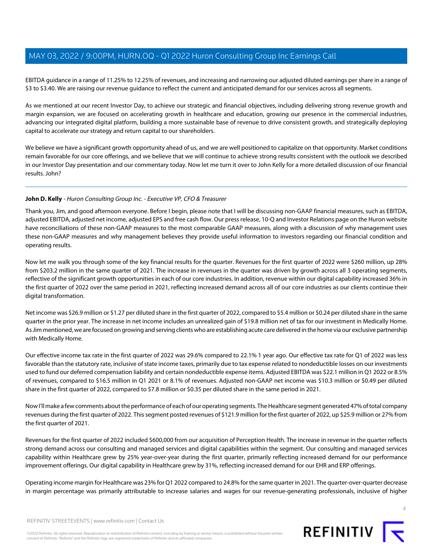EBITDA guidance in a range of 11.25% to 12.25% of revenues, and increasing and narrowing our adjusted diluted earnings per share in a range of \$3 to \$3.40. We are raising our revenue guidance to reflect the current and anticipated demand for our services across all segments.

As we mentioned at our recent Investor Day, to achieve our strategic and financial objectives, including delivering strong revenue growth and margin expansion, we are focused on accelerating growth in healthcare and education, growing our presence in the commercial industries, advancing our integrated digital platform, building a more sustainable base of revenue to drive consistent growth, and strategically deploying capital to accelerate our strategy and return capital to our shareholders.

We believe we have a significant growth opportunity ahead of us, and we are well positioned to capitalize on that opportunity. Market conditions remain favorable for our core offerings, and we believe that we will continue to achieve strong results consistent with the outlook we described in our Investor Day presentation and our commentary today. Now let me turn it over to John Kelly for a more detailed discussion of our financial results. John?

#### <span id="page-3-0"></span>**John D. Kelly** - Huron Consulting Group Inc. - Executive VP, CFO & Treasurer

Thank you, Jim, and good afternoon everyone. Before I begin, please note that I will be discussing non-GAAP financial measures, such as EBITDA, adjusted EBITDA, adjusted net income, adjusted EPS and free cash flow. Our press release, 10-Q and Investor Relations page on the Huron website have reconciliations of these non-GAAP measures to the most comparable GAAP measures, along with a discussion of why management uses these non-GAAP measures and why management believes they provide useful information to investors regarding our financial condition and operating results.

Now let me walk you through some of the key financial results for the quarter. Revenues for the first quarter of 2022 were \$260 million, up 28% from \$203.2 million in the same quarter of 2021. The increase in revenues in the quarter was driven by growth across all 3 operating segments, reflective of the significant growth opportunities in each of our core industries. In addition, revenue within our digital capability increased 36% in the first quarter of 2022 over the same period in 2021, reflecting increased demand across all of our core industries as our clients continue their digital transformation.

Net income was \$26.9 million or \$1.27 per diluted share in the first quarter of 2022, compared to \$5.4 million or \$0.24 per diluted share in the same quarter in the prior year. The increase in net income includes an unrealized gain of \$19.8 million net of tax for our investment in Medically Home. As Jim mentioned, we are focused on growing and serving clients who are establishing acute care delivered in the home via our exclusive partnership with Medically Home.

Our effective income tax rate in the first quarter of 2022 was 29.6% compared to 22.1% 1 year ago. Our effective tax rate for Q1 of 2022 was less favorable than the statutory rate, inclusive of state income taxes, primarily due to tax expense related to nondeductible losses on our investments used to fund our deferred compensation liability and certain nondeductible expense items. Adjusted EBITDA was \$22.1 million in Q1 2022 or 8.5% of revenues, compared to \$16.5 million in Q1 2021 or 8.1% of revenues. Adjusted non-GAAP net income was \$10.3 million or \$0.49 per diluted share in the first quarter of 2022, compared to \$7.8 million or \$0.35 per diluted share in the same period in 2021.

Now I'll make a few comments about the performance of each of our operating segments. The Healthcare segment generated 47% of total company revenues during the first quarter of 2022. This segment posted revenues of \$121.9 million for the first quarter of 2022, up \$25.9 million or 27% from the first quarter of 2021.

Revenues for the first quarter of 2022 included \$600,000 from our acquisition of Perception Health. The increase in revenue in the quarter reflects strong demand across our consulting and managed services and digital capabilities within the segment. Our consulting and managed services capability within Healthcare grew by 25% year-over-year during the first quarter, primarily reflecting increased demand for our performance improvement offerings. Our digital capability in Healthcare grew by 31%, reflecting increased demand for our EHR and ERP offerings.

Operating income margin for Healthcare was 23% for Q1 2022 compared to 24.8% for the same quarter in 2021. The quarter-over-quarter decrease in margin percentage was primarily attributable to increase salaries and wages for our revenue-generating professionals, inclusive of higher

 $\Delta$ 

REFINITIV STREETEVENTS | [www.refinitiv.com](https://www.refinitiv.com/) | [Contact Us](https://www.refinitiv.com/en/contact-us)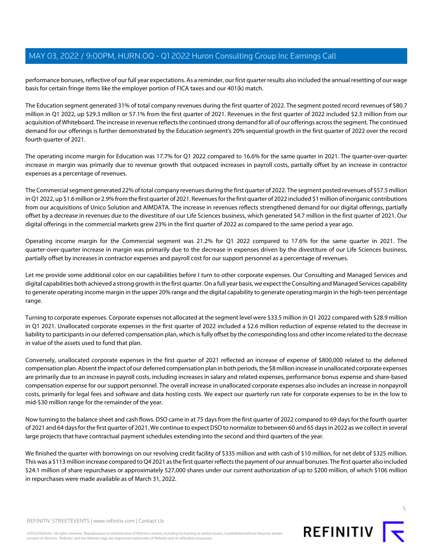performance bonuses, reflective of our full year expectations. As a reminder, our first quarter results also included the annual resetting of our wage basis for certain fringe items like the employer portion of FICA taxes and our 401(k) match.

The Education segment generated 31% of total company revenues during the first quarter of 2022. The segment posted record revenues of \$80.7 million in Q1 2022, up \$29.3 million or 57.1% from the first quarter of 2021. Revenues in the first quarter of 2022 included \$2.3 million from our acquisition of Whiteboard. The increase in revenue reflects the continued strong demand for all of our offerings across the segment. The continued demand for our offerings is further demonstrated by the Education segment's 20% sequential growth in the first quarter of 2022 over the record fourth quarter of 2021.

The operating income margin for Education was 17.7% for Q1 2022 compared to 16.6% for the same quarter in 2021. The quarter-over-quarter increase in margin was primarily due to revenue growth that outpaced increases in payroll costs, partially offset by an increase in contractor expenses as a percentage of revenues.

The Commercial segment generated 22% of total company revenues during the first quarter of 2022. The segment posted revenues of \$57.5 million in Q1 2022, up \$1.6 million or 2.9% from the first quarter of 2021. Revenues for the first quarter of 2022 included \$1 million of inorganic contributions from our acquisitions of Unico Solution and AIMDATA. The increase in revenues reflects strengthened demand for our digital offerings, partially offset by a decrease in revenues due to the divestiture of our Life Sciences business, which generated \$4.7 million in the first quarter of 2021. Our digital offerings in the commercial markets grew 23% in the first quarter of 2022 as compared to the same period a year ago.

Operating income margin for the Commercial segment was 21.2% for Q1 2022 compared to 17.6% for the same quarter in 2021. The quarter-over-quarter increase in margin was primarily due to the decrease in expenses driven by the divestiture of our Life Sciences business, partially offset by increases in contractor expenses and payroll cost for our support personnel as a percentage of revenues.

Let me provide some additional color on our capabilities before I turn to other corporate expenses. Our Consulting and Managed Services and digital capabilities both achieved a strong growth in the first quarter. On a full year basis, we expect the Consulting and Managed Services capability to generate operating income margin in the upper 20% range and the digital capability to generate operating margin in the high-teen percentage range.

Turning to corporate expenses. Corporate expenses not allocated at the segment level were \$33.5 million in Q1 2022 compared with \$28.9 million in Q1 2021. Unallocated corporate expenses in the first quarter of 2022 included a \$2.6 million reduction of expense related to the decrease in liability to participants in our deferred compensation plan, which is fully offset by the corresponding loss and other income related to the decrease in value of the assets used to fund that plan.

Conversely, unallocated corporate expenses in the first quarter of 2021 reflected an increase of expense of \$800,000 related to the deferred compensation plan. Absent the impact of our deferred compensation plan in both periods, the \$8 million increase in unallocated corporate expenses are primarily due to an increase in payroll costs, including increases in salary and related expenses, performance bonus expense and share-based compensation expense for our support personnel. The overall increase in unallocated corporate expenses also includes an increase in nonpayroll costs, primarily for legal fees and software and data hosting costs. We expect our quarterly run rate for corporate expenses to be in the low to mid-\$30 million range for the remainder of the year.

Now turning to the balance sheet and cash flows. DSO came in at 75 days from the first quarter of 2022 compared to 69 days for the fourth quarter of 2021 and 64 days for the first quarter of 2021. We continue to expect DSO to normalize to between 60 and 65 days in 2022 as we collect in several large projects that have contractual payment schedules extending into the second and third quarters of the year.

We finished the quarter with borrowings on our revolving credit facility of \$335 million and with cash of \$10 million, for net debt of \$325 million. This was a \$113 million increase compared to Q4 2021 as the first quarter reflects the payment of our annual bonuses. The first quarter also included \$24.1 million of share repurchases or approximately 527,000 shares under our current authorization of up to \$200 million, of which \$106 million in repurchases were made available as of March 31, 2022.

REFINITIV STREETEVENTS | [www.refinitiv.com](https://www.refinitiv.com/) | [Contact Us](https://www.refinitiv.com/en/contact-us)

©2022 Refinitiv. All rights reserved. Republication or redistribution of Refinitiv content, including by framing or similar means, is prohibited without the prior written consent of Refinitiv. 'Refinitiv' and the Refinitiv logo are registered trademarks of Refinitiv and its affiliated companies.



REFINITIV<sub>I</sub>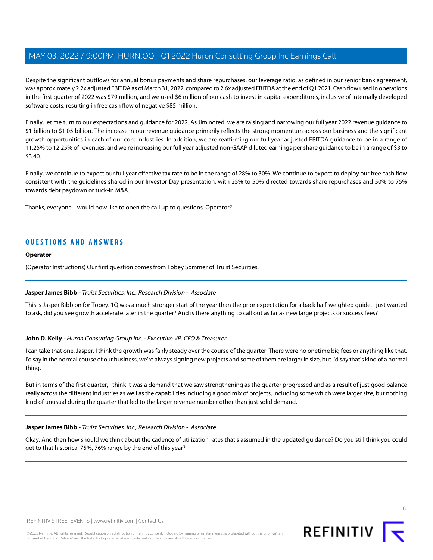Despite the significant outflows for annual bonus payments and share repurchases, our leverage ratio, as defined in our senior bank agreement, was approximately 2.2x adjusted EBITDA as of March 31, 2022, compared to 2.6x adjusted EBITDA at the end of Q1 2021. Cash flow used in operations in the first quarter of 2022 was \$79 million, and we used \$6 million of our cash to invest in capital expenditures, inclusive of internally developed software costs, resulting in free cash flow of negative \$85 million.

Finally, let me turn to our expectations and guidance for 2022. As Jim noted, we are raising and narrowing our full year 2022 revenue guidance to \$1 billion to \$1.05 billion. The increase in our revenue guidance primarily reflects the strong momentum across our business and the significant growth opportunities in each of our core industries. In addition, we are reaffirming our full year adjusted EBITDA guidance to be in a range of 11.25% to 12.25% of revenues, and we're increasing our full year adjusted non-GAAP diluted earnings per share guidance to be in a range of \$3 to \$3.40.

Finally, we continue to expect our full year effective tax rate to be in the range of 28% to 30%. We continue to expect to deploy our free cash flow consistent with the guidelines shared in our Investor Day presentation, with 25% to 50% directed towards share repurchases and 50% to 75% towards debt paydown or tuck-in M&A.

Thanks, everyone. I would now like to open the call up to questions. Operator?

# **QUESTIONS AND ANSWERS**

#### **Operator**

<span id="page-5-0"></span>(Operator Instructions) Our first question comes from Tobey Sommer of Truist Securities.

#### **Jasper James Bibb** - Truist Securities, Inc., Research Division - Associate

This is Jasper Bibb on for Tobey. 1Q was a much stronger start of the year than the prior expectation for a back half-weighted guide. I just wanted to ask, did you see growth accelerate later in the quarter? And is there anything to call out as far as new large projects or success fees?

#### **John D. Kelly** - Huron Consulting Group Inc. - Executive VP, CFO & Treasurer

I can take that one, Jasper. I think the growth was fairly steady over the course of the quarter. There were no onetime big fees or anything like that. I'd say in the normal course of our business, we're always signing new projects and some of them are larger in size, but I'd say that's kind of a normal thing.

But in terms of the first quarter, I think it was a demand that we saw strengthening as the quarter progressed and as a result of just good balance really across the different industries as well as the capabilities including a good mix of projects, including some which were larger size, but nothing kind of unusual during the quarter that led to the larger revenue number other than just solid demand.

#### **Jasper James Bibb** - Truist Securities, Inc., Research Division - Associate

Okay. And then how should we think about the cadence of utilization rates that's assumed in the updated guidance? Do you still think you could get to that historical 75%, 76% range by the end of this year?

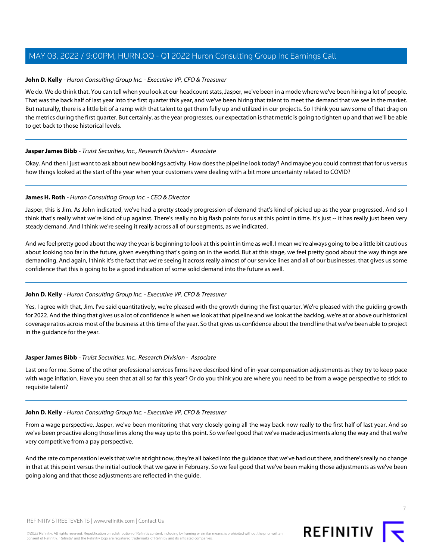### **John D. Kelly** - Huron Consulting Group Inc. - Executive VP, CFO & Treasurer

We do. We do think that. You can tell when you look at our headcount stats, Jasper, we've been in a mode where we've been hiring a lot of people. That was the back half of last year into the first quarter this year, and we've been hiring that talent to meet the demand that we see in the market. But naturally, there is a little bit of a ramp with that talent to get them fully up and utilized in our projects. So I think you saw some of that drag on the metrics during the first quarter. But certainly, as the year progresses, our expectation is that metric is going to tighten up and that we'll be able to get back to those historical levels.

#### **Jasper James Bibb** - Truist Securities, Inc., Research Division - Associate

Okay. And then I just want to ask about new bookings activity. How does the pipeline look today? And maybe you could contrast that for us versus how things looked at the start of the year when your customers were dealing with a bit more uncertainty related to COVID?

#### **James H. Roth** - Huron Consulting Group Inc. - CEO & Director

Jasper, this is Jim. As John indicated, we've had a pretty steady progression of demand that's kind of picked up as the year progressed. And so I think that's really what we're kind of up against. There's really no big flash points for us at this point in time. It's just -- it has really just been very steady demand. And I think we're seeing it really across all of our segments, as we indicated.

And we feel pretty good about the way the year is beginning to look at this point in time as well. I mean we're always going to be a little bit cautious about looking too far in the future, given everything that's going on in the world. But at this stage, we feel pretty good about the way things are demanding. And again, I think it's the fact that we're seeing it across really almost of our service lines and all of our businesses, that gives us some confidence that this is going to be a good indication of some solid demand into the future as well.

#### **John D. Kelly** - Huron Consulting Group Inc. - Executive VP, CFO & Treasurer

Yes, I agree with that, Jim. I've said quantitatively, we're pleased with the growth during the first quarter. We're pleased with the guiding growth for 2022. And the thing that gives us a lot of confidence is when we look at that pipeline and we look at the backlog, we're at or above our historical coverage ratios across most of the business at this time of the year. So that gives us confidence about the trend line that we've been able to project in the guidance for the year.

#### **Jasper James Bibb** - Truist Securities, Inc., Research Division - Associate

Last one for me. Some of the other professional services firms have described kind of in-year compensation adjustments as they try to keep pace with wage inflation. Have you seen that at all so far this year? Or do you think you are where you need to be from a wage perspective to stick to requisite talent?

#### **John D. Kelly** - Huron Consulting Group Inc. - Executive VP, CFO & Treasurer

From a wage perspective, Jasper, we've been monitoring that very closely going all the way back now really to the first half of last year. And so we've been proactive along those lines along the way up to this point. So we feel good that we've made adjustments along the way and that we're very competitive from a pay perspective.

And the rate compensation levels that we're at right now, they're all baked into the guidance that we've had out there, and there's really no change in that at this point versus the initial outlook that we gave in February. So we feel good that we've been making those adjustments as we've been going along and that those adjustments are reflected in the guide.



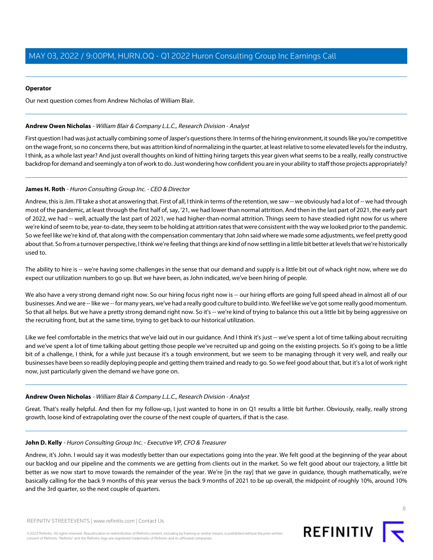#### **Operator**

Our next question comes from Andrew Nicholas of William Blair.

#### <span id="page-7-0"></span>**Andrew Owen Nicholas** - William Blair & Company L.L.C., Research Division - Analyst

First question I had was just actually combining some of Jasper's questions there. In terms of the hiring environment, it sounds like you're competitive on the wage front, so no concerns there, but was attrition kind of normalizing in the quarter, at least relative to some elevated levels for the industry, I think, as a whole last year? And just overall thoughts on kind of hitting hiring targets this year given what seems to be a really, really constructive backdrop for demand and seemingly a ton of work to do. Just wondering how confident you are in your ability to staff those projects appropriately?

### **James H. Roth** - Huron Consulting Group Inc. - CEO & Director

Andrew, this is Jim. I'll take a shot at answering that. First of all, I think in terms of the retention, we saw -- we obviously had a lot of -- we had through most of the pandemic, at least through the first half of, say, '21, we had lower than normal attrition. And then in the last part of 2021, the early part of 2022, we had -- well, actually the last part of 2021, we had higher-than-normal attrition. Things seem to have steadied right now for us where we're kind of seem to be, year-to-date, they seem to be holding at attrition rates that were consistent with the way we looked prior to the pandemic. So we feel like we're kind of, that along with the compensation commentary that John said where we made some adjustments, we feel pretty good about that. So from a turnover perspective, I think we're feeling that things are kind of now settling in a little bit better at levels that we're historically used to.

The ability to hire is -- we're having some challenges in the sense that our demand and supply is a little bit out of whack right now, where we do expect our utilization numbers to go up. But we have been, as John indicated, we've been hiring of people.

We also have a very strong demand right now. So our hiring focus right now is -- our hiring efforts are going full speed ahead in almost all of our businesses. And we are -- like we -- for many years, we've had a really good culture to build into. We feel like we've got some really good momentum. So that all helps. But we have a pretty strong demand right now. So it's -- we're kind of trying to balance this out a little bit by being aggressive on the recruiting front, but at the same time, trying to get back to our historical utilization.

Like we feel comfortable in the metrics that we've laid out in our guidance. And I think it's just -- we've spent a lot of time talking about recruiting and we've spent a lot of time talking about getting those people we've recruited up and going on the existing projects. So it's going to be a little bit of a challenge, I think, for a while just because it's a tough environment, but we seem to be managing through it very well, and really our businesses have been so readily deploying people and getting them trained and ready to go. So we feel good about that, but it's a lot of work right now, just particularly given the demand we have gone on.

#### **Andrew Owen Nicholas** - William Blair & Company L.L.C., Research Division - Analyst

Great. That's really helpful. And then for my follow-up, I just wanted to hone in on Q1 results a little bit further. Obviously, really, really strong growth, loose kind of extrapolating over the course of the next couple of quarters, if that is the case.

#### **John D. Kelly** - Huron Consulting Group Inc. - Executive VP, CFO & Treasurer

Andrew, it's John. I would say it was modestly better than our expectations going into the year. We felt good at the beginning of the year about our backlog and our pipeline and the comments we are getting from clients out in the market. So we felt good about our trajectory, a little bit better as we now start to move towards the remainder of the year. We're [in the ray] that we gave in guidance, though mathematically, we're basically calling for the back 9 months of this year versus the back 9 months of 2021 to be up overall, the midpoint of roughly 10%, around 10% and the 3rd quarter, so the next couple of quarters.

©2022 Refinitiv. All rights reserved. Republication or redistribution of Refinitiv content, including by framing or similar means, is prohibited without the prior written consent of Refinitiv. 'Refinitiv' and the Refinitiv logo are registered trademarks of Refinitiv and its affiliated companies.

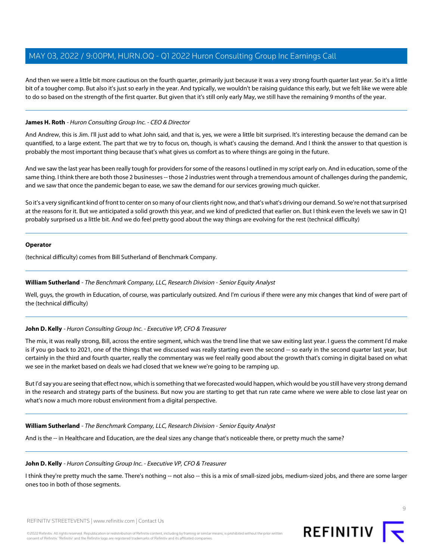And then we were a little bit more cautious on the fourth quarter, primarily just because it was a very strong fourth quarter last year. So it's a little bit of a tougher comp. But also it's just so early in the year. And typically, we wouldn't be raising guidance this early, but we felt like we were able to do so based on the strength of the first quarter. But given that it's still only early May, we still have the remaining 9 months of the year.

### **James H. Roth** - Huron Consulting Group Inc. - CEO & Director

And Andrew, this is Jim. I'll just add to what John said, and that is, yes, we were a little bit surprised. It's interesting because the demand can be quantified, to a large extent. The part that we try to focus on, though, is what's causing the demand. And I think the answer to that question is probably the most important thing because that's what gives us comfort as to where things are going in the future.

And we saw the last year has been really tough for providers for some of the reasons I outlined in my script early on. And in education, some of the same thing. I think there are both those 2 businesses -- those 2 industries went through a tremendous amount of challenges during the pandemic, and we saw that once the pandemic began to ease, we saw the demand for our services growing much quicker.

So it's a very significant kind of front to center on so many of our clients right now, and that's what's driving our demand. So we're not that surprised at the reasons for it. But we anticipated a solid growth this year, and we kind of predicted that earlier on. But I think even the levels we saw in Q1 probably surprised us a little bit. And we do feel pretty good about the way things are evolving for the rest (technical difficulty)

#### **Operator**

<span id="page-8-0"></span>(technical difficulty) comes from Bill Sutherland of Benchmark Company.

#### **William Sutherland** - The Benchmark Company, LLC, Research Division - Senior Equity Analyst

Well, guys, the growth in Education, of course, was particularly outsized. And I'm curious if there were any mix changes that kind of were part of the (technical difficulty)

#### **John D. Kelly** - Huron Consulting Group Inc. - Executive VP, CFO & Treasurer

The mix, it was really strong, Bill, across the entire segment, which was the trend line that we saw exiting last year. I guess the comment I'd make is if you go back to 2021, one of the things that we discussed was really starting even the second -- so early in the second quarter last year, but certainly in the third and fourth quarter, really the commentary was we feel really good about the growth that's coming in digital based on what we see in the market based on deals we had closed that we knew we're going to be ramping up.

But I'd say you are seeing that effect now, which is something that we forecasted would happen, which would be you still have very strong demand in the research and strategy parts of the business. But now you are starting to get that run rate came where we were able to close last year on what's now a much more robust environment from a digital perspective.

#### **William Sutherland** - The Benchmark Company, LLC, Research Division - Senior Equity Analyst

And is the -- in Healthcare and Education, are the deal sizes any change that's noticeable there, or pretty much the same?

#### **John D. Kelly** - Huron Consulting Group Inc. - Executive VP, CFO & Treasurer

I think they're pretty much the same. There's nothing -- not also -- this is a mix of small-sized jobs, medium-sized jobs, and there are some larger ones too in both of those segments.

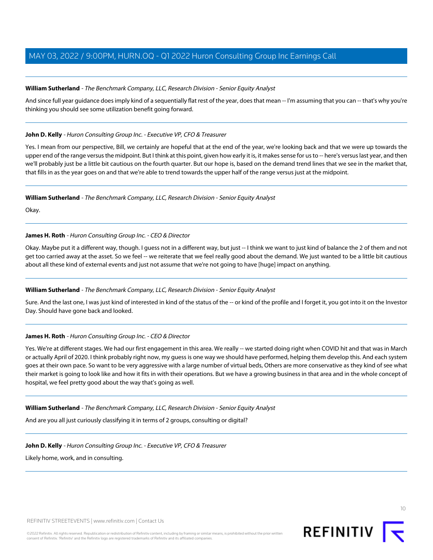### **William Sutherland** - The Benchmark Company, LLC, Research Division - Senior Equity Analyst

And since full year guidance does imply kind of a sequentially flat rest of the year, does that mean -- I'm assuming that you can -- that's why you're thinking you should see some utilization benefit going forward.

### **John D. Kelly** - Huron Consulting Group Inc. - Executive VP, CFO & Treasurer

Yes. I mean from our perspective, Bill, we certainly are hopeful that at the end of the year, we're looking back and that we were up towards the upper end of the range versus the midpoint. But I think at this point, given how early it is, it makes sense for us to -- here's versus last year, and then we'll probably just be a little bit cautious on the fourth quarter. But our hope is, based on the demand trend lines that we see in the market that, that fills in as the year goes on and that we're able to trend towards the upper half of the range versus just at the midpoint.

#### **William Sutherland** - The Benchmark Company, LLC, Research Division - Senior Equity Analyst

Okay.

### **James H. Roth** - Huron Consulting Group Inc. - CEO & Director

Okay. Maybe put it a different way, though. I guess not in a different way, but just -- I think we want to just kind of balance the 2 of them and not get too carried away at the asset. So we feel -- we reiterate that we feel really good about the demand. We just wanted to be a little bit cautious about all these kind of external events and just not assume that we're not going to have [huge] impact on anything.

# **William Sutherland** - The Benchmark Company, LLC, Research Division - Senior Equity Analyst

Sure. And the last one, I was just kind of interested in kind of the status of the -- or kind of the profile and I forget it, you got into it on the Investor Day. Should have gone back and looked.

# **James H. Roth** - Huron Consulting Group Inc. - CEO & Director

Yes. We're at different stages. We had our first engagement in this area. We really -- we started doing right when COVID hit and that was in March or actually April of 2020. I think probably right now, my guess is one way we should have performed, helping them develop this. And each system goes at their own pace. So want to be very aggressive with a large number of virtual beds, Others are more conservative as they kind of see what their market is going to look like and how it fits in with their operations. But we have a growing business in that area and in the whole concept of hospital, we feel pretty good about the way that's going as well.

#### **William Sutherland** - The Benchmark Company, LLC, Research Division - Senior Equity Analyst

And are you all just curiously classifying it in terms of 2 groups, consulting or digital?

#### **John D. Kelly** - Huron Consulting Group Inc. - Executive VP, CFO & Treasurer

Likely home, work, and in consulting.



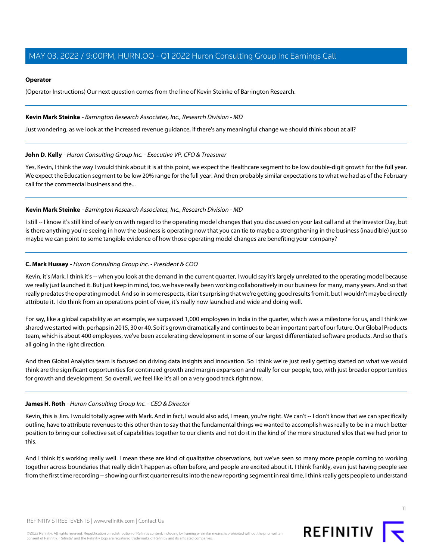#### **Operator**

(Operator Instructions) Our next question comes from the line of Kevin Steinke of Barrington Research.

#### <span id="page-10-1"></span>**Kevin Mark Steinke** - Barrington Research Associates, Inc., Research Division - MD

Just wondering, as we look at the increased revenue guidance, if there's any meaningful change we should think about at all?

#### **John D. Kelly** - Huron Consulting Group Inc. - Executive VP, CFO & Treasurer

Yes, Kevin, I think the way I would think about it is at this point, we expect the Healthcare segment to be low double-digit growth for the full year. We expect the Education segment to be low 20% range for the full year. And then probably similar expectations to what we had as of the February call for the commercial business and the...

#### **Kevin Mark Steinke** - Barrington Research Associates, Inc., Research Division - MD

<span id="page-10-0"></span>I still -- I know it's still kind of early on with regard to the operating model changes that you discussed on your last call and at the Investor Day, but is there anything you're seeing in how the business is operating now that you can tie to maybe a strengthening in the business (inaudible) just so maybe we can point to some tangible evidence of how those operating model changes are benefiting your company?

#### **C. Mark Hussey** - Huron Consulting Group Inc. - President & COO

Kevin, it's Mark. I think it's -- when you look at the demand in the current quarter, I would say it's largely unrelated to the operating model because we really just launched it. But just keep in mind, too, we have really been working collaboratively in our business for many, many years. And so that really predates the operating model. And so in some respects, it isn't surprising that we're getting good results from it, but I wouldn't maybe directly attribute it. I do think from an operations point of view, it's really now launched and wide and doing well.

For say, like a global capability as an example, we surpassed 1,000 employees in India in the quarter, which was a milestone for us, and I think we shared we started with, perhaps in 2015, 30 or 40. So it's grown dramatically and continues to be an important part of our future. Our Global Products team, which is about 400 employees, we've been accelerating development in some of our largest differentiated software products. And so that's all going in the right direction.

And then Global Analytics team is focused on driving data insights and innovation. So I think we're just really getting started on what we would think are the significant opportunities for continued growth and margin expansion and really for our people, too, with just broader opportunities for growth and development. So overall, we feel like it's all on a very good track right now.

#### **James H. Roth** - Huron Consulting Group Inc. - CEO & Director

Kevin, this is Jim. I would totally agree with Mark. And in fact, I would also add, I mean, you're right. We can't -- I don't know that we can specifically outline, have to attribute revenues to this other than to say that the fundamental things we wanted to accomplish was really to be in a much better position to bring our collective set of capabilities together to our clients and not do it in the kind of the more structured silos that we had prior to this.

And I think it's working really well. I mean these are kind of qualitative observations, but we've seen so many more people coming to working together across boundaries that really didn't happen as often before, and people are excited about it. I think frankly, even just having people see from the first time recording -- showing our first quarter results into the new reporting segment in real time, I think really gets people to understand

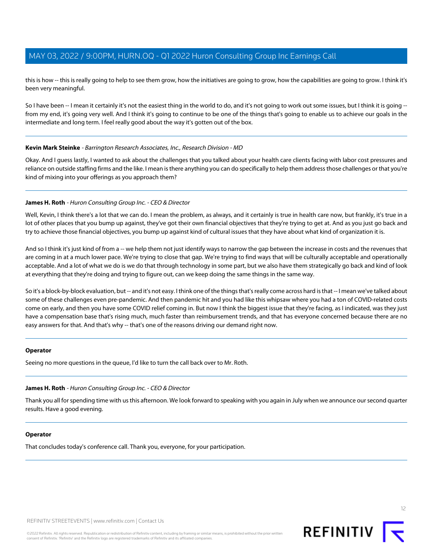this is how -- this is really going to help to see them grow, how the initiatives are going to grow, how the capabilities are going to grow. I think it's been very meaningful.

So I have been -- I mean it certainly it's not the easiest thing in the world to do, and it's not going to work out some issues, but I think it is going -from my end, it's going very well. And I think it's going to continue to be one of the things that's going to enable us to achieve our goals in the intermediate and long term. I feel really good about the way it's gotten out of the box.

#### **Kevin Mark Steinke** - Barrington Research Associates, Inc., Research Division - MD

Okay. And I guess lastly, I wanted to ask about the challenges that you talked about your health care clients facing with labor cost pressures and reliance on outside staffing firms and the like. I mean is there anything you can do specifically to help them address those challenges or that you're kind of mixing into your offerings as you approach them?

#### **James H. Roth** - Huron Consulting Group Inc. - CEO & Director

Well, Kevin, I think there's a lot that we can do. I mean the problem, as always, and it certainly is true in health care now, but frankly, it's true in a lot of other places that you bump up against, they've got their own financial objectives that they're trying to get at. And as you just go back and try to achieve those financial objectives, you bump up against kind of cultural issues that they have about what kind of organization it is.

And so I think it's just kind of from a -- we help them not just identify ways to narrow the gap between the increase in costs and the revenues that are coming in at a much lower pace. We're trying to close that gap. We're trying to find ways that will be culturally acceptable and operationally acceptable. And a lot of what we do is we do that through technology in some part, but we also have them strategically go back and kind of look at everything that they're doing and trying to figure out, can we keep doing the same things in the same way.

So it's a block-by-block evaluation, but -- and it's not easy. I think one of the things that's really come across hard is that -- I mean we've talked about some of these challenges even pre-pandemic. And then pandemic hit and you had like this whipsaw where you had a ton of COVID-related costs come on early, and then you have some COVID relief coming in. But now I think the biggest issue that they're facing, as I indicated, was they just have a compensation base that's rising much, much faster than reimbursement trends, and that has everyone concerned because there are no easy answers for that. And that's why -- that's one of the reasons driving our demand right now.

#### **Operator**

Seeing no more questions in the queue, I'd like to turn the call back over to Mr. Roth.

#### **James H. Roth** - Huron Consulting Group Inc. - CEO & Director

Thank you all for spending time with us this afternoon. We look forward to speaking with you again in July when we announce our second quarter results. Have a good evening.

#### **Operator**

That concludes today's conference call. Thank you, everyone, for your participation.